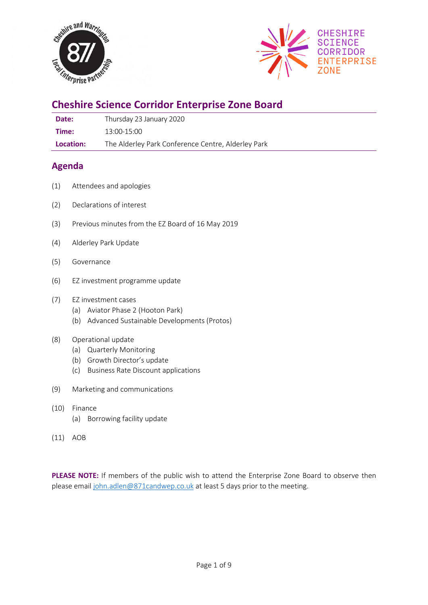



# **Cheshire Science Corridor Enterprise Zone Board**

| Date: | Thursday 23 January 2020 |
|-------|--------------------------|
|-------|--------------------------|

**Time:** 13:00-15:00

**Location:** The Alderley Park Conference Centre, Alderley Park

## **Agenda**

- (1) Attendees and apologies
- (2) Declarations of interest
- (3) Previous minutes from the EZ Board of 16 May 2019
- (4) Alderley Park Update
- (5) Governance
- (6) EZ investment programme update
- (7) EZ investment cases
	- (a) Aviator Phase 2 (Hooton Park)
	- (b) Advanced Sustainable Developments (Protos)

#### (8) Operational update

- (a) Quarterly Monitoring
- (b) Growth Director's update
- (c) Business Rate Discount applications
- (9) Marketing and communications
- (10) Finance
	- (a) Borrowing facility update
- (11) AOB

PLEASE NOTE: If members of the public wish to attend the Enterprise Zone Board to observe then please email [john.adlen@871candwep.co.uk](mailto:john.adlen@871candwep.co.uk) at least 5 days prior to the meeting.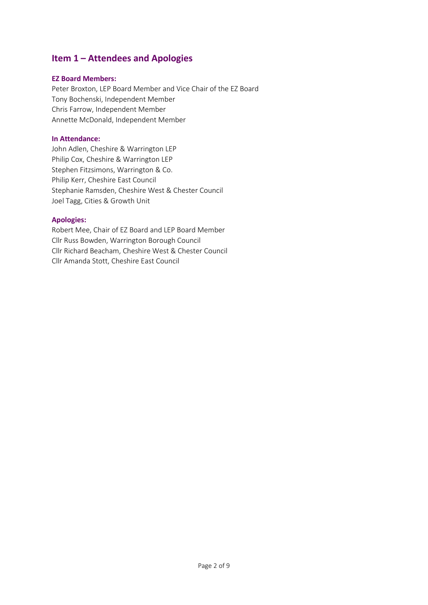## **Item 1 – Attendees and Apologies**

#### **EZ Board Members:**

Peter Broxton, LEP Board Member and Vice Chair of the EZ Board Tony Bochenski, Independent Member Chris Farrow, Independent Member Annette McDonald, Independent Member

#### **In Attendance:**

John Adlen, Cheshire & Warrington LEP Philip Cox, Cheshire & Warrington LEP Stephen Fitzsimons, Warrington & Co. Philip Kerr, Cheshire East Council Stephanie Ramsden, Cheshire West & Chester Council Joel Tagg, Cities & Growth Unit

#### **Apologies:**

Robert Mee, Chair of EZ Board and LEP Board Member Cllr Russ Bowden, Warrington Borough Council Cllr Richard Beacham, Cheshire West & Chester Council Cllr Amanda Stott, Cheshire East Council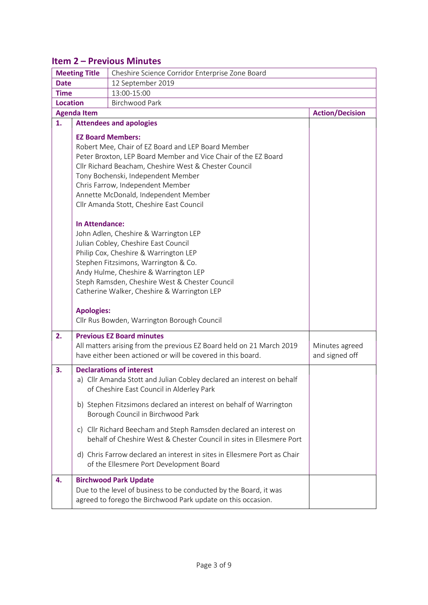## **Item 2 – Previous Minutes**

| <b>Action/Decision</b> |
|------------------------|
|                        |
|                        |
|                        |
|                        |
|                        |
|                        |
|                        |
|                        |
|                        |
|                        |
|                        |
|                        |
|                        |
|                        |
|                        |
|                        |
|                        |
|                        |
|                        |
|                        |
|                        |
|                        |
|                        |
|                        |
|                        |
| Minutes agreed         |
| and signed off         |
|                        |
|                        |
|                        |
|                        |
|                        |
|                        |
|                        |
|                        |
|                        |
|                        |
|                        |
|                        |
|                        |
|                        |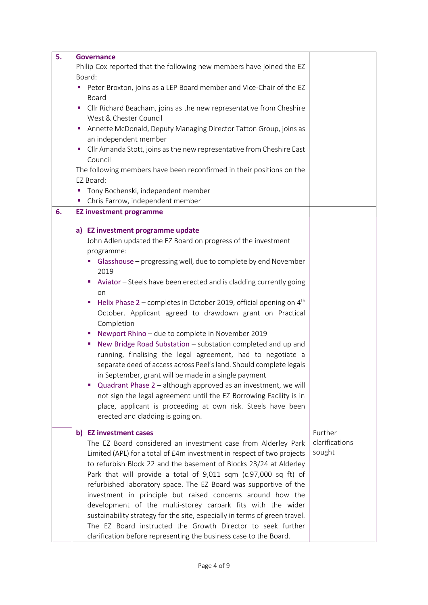| 5. | <b>Governance</b>                                                          |                |
|----|----------------------------------------------------------------------------|----------------|
|    | Philip Cox reported that the following new members have joined the EZ      |                |
|    | Board:                                                                     |                |
|    | Peter Broxton, joins as a LEP Board member and Vice-Chair of the EZ<br>Г   |                |
|    | <b>Board</b>                                                               |                |
|    | Cllr Richard Beacham, joins as the new representative from Cheshire<br>ш   |                |
|    | West & Chester Council                                                     |                |
|    | Annette McDonald, Deputy Managing Director Tatton Group, joins as<br>×,    |                |
|    | an independent member                                                      |                |
|    | Cllr Amanda Stott, joins as the new representative from Cheshire East<br>ш |                |
|    | Council                                                                    |                |
|    | The following members have been reconfirmed in their positions on the      |                |
|    | EZ Board:                                                                  |                |
|    | Tony Bochenski, independent member<br>П                                    |                |
|    | Chris Farrow, independent member<br>I.                                     |                |
| 6. | <b>EZ investment programme</b>                                             |                |
|    | a) EZ investment programme update                                          |                |
|    | John Adlen updated the EZ Board on progress of the investment              |                |
|    | programme:                                                                 |                |
|    | Glasshouse - progressing well, due to complete by end November<br>×.       |                |
|    | 2019                                                                       |                |
|    | Aviator - Steels have been erected and is cladding currently going         |                |
|    | on                                                                         |                |
|    | Helix Phase $2$ – completes in October 2019, official opening on $4th$     |                |
|    | October. Applicant agreed to drawdown grant on Practical                   |                |
|    | Completion                                                                 |                |
|    | Newport Rhino - due to complete in November 2019<br>×                      |                |
|    | New Bridge Road Substation - substation completed and up and<br>×,         |                |
|    | running, finalising the legal agreement, had to negotiate a                |                |
|    | separate deed of access across Peel's land. Should complete legals         |                |
|    | in September, grant will be made in a single payment                       |                |
|    | Quadrant Phase 2 - although approved as an investment, we will             |                |
|    | not sign the legal agreement until the EZ Borrowing Facility is in         |                |
|    | place, applicant is proceeding at own risk. Steels have been               |                |
|    | erected and cladding is going on.                                          |                |
|    | b) EZ investment cases                                                     | Further        |
|    | The EZ Board considered an investment case from Alderley Park              | clarifications |
|    | Limited (APL) for a total of £4m investment in respect of two projects     | sought         |
|    | to refurbish Block 22 and the basement of Blocks 23/24 at Alderley         |                |
|    | Park that will provide a total of 9,011 sqm (c.97,000 sq ft) of            |                |
|    | refurbished laboratory space. The EZ Board was supportive of the           |                |
|    | investment in principle but raised concerns around how the                 |                |
|    | development of the multi-storey carpark fits with the wider                |                |
|    | sustainability strategy for the site, especially in terms of green travel. |                |
|    | The EZ Board instructed the Growth Director to seek further                |                |
|    | clarification before representing the business case to the Board.          |                |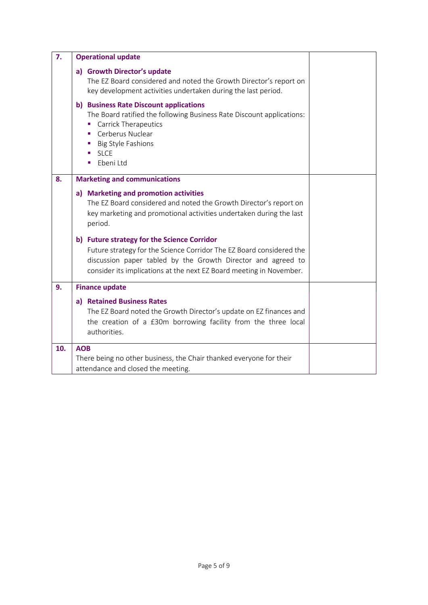| 7.  | <b>Operational update</b>                                                                                                                                                                                                                                  |  |
|-----|------------------------------------------------------------------------------------------------------------------------------------------------------------------------------------------------------------------------------------------------------------|--|
|     | a) Growth Director's update<br>The EZ Board considered and noted the Growth Director's report on<br>key development activities undertaken during the last period.                                                                                          |  |
|     | b) Business Rate Discount applications<br>The Board ratified the following Business Rate Discount applications:<br><b>Carrick Therapeutics</b><br>ш<br>Cerberus Nuclear<br>a.<br><b>Big Style Fashions</b><br>ш<br><b>SLCE</b><br>Ebeni Ltd                |  |
| 8.  | <b>Marketing and communications</b>                                                                                                                                                                                                                        |  |
|     | a) Marketing and promotion activities<br>The EZ Board considered and noted the Growth Director's report on<br>key marketing and promotional activities undertaken during the last<br>period.                                                               |  |
|     | b) Future strategy for the Science Corridor<br>Future strategy for the Science Corridor The EZ Board considered the<br>discussion paper tabled by the Growth Director and agreed to<br>consider its implications at the next EZ Board meeting in November. |  |
| 9.  | <b>Finance update</b>                                                                                                                                                                                                                                      |  |
|     | a) Retained Business Rates<br>The EZ Board noted the Growth Director's update on EZ finances and<br>the creation of a £30m borrowing facility from the three local<br>authorities.                                                                         |  |
| 10. | <b>AOB</b>                                                                                                                                                                                                                                                 |  |
|     | There being no other business, the Chair thanked everyone for their<br>attendance and closed the meeting.                                                                                                                                                  |  |
|     |                                                                                                                                                                                                                                                            |  |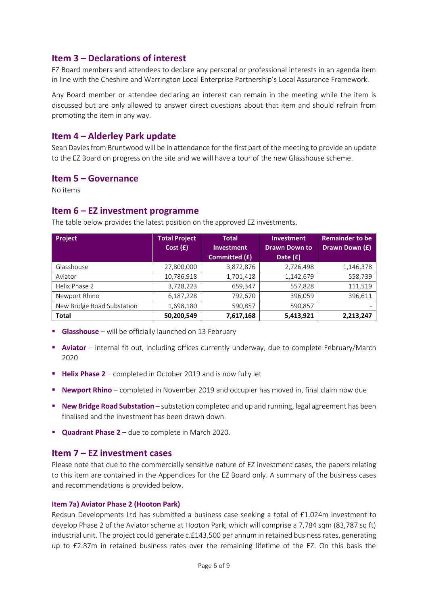## **Item 3 – Declarations of interest**

EZ Board members and attendees to declare any personal or professional interests in an agenda item in line with the Cheshire and Warrington Local Enterprise Partnership's Local Assurance Framework.

Any Board member or attendee declaring an interest can remain in the meeting while the item is discussed but are only allowed to answer direct questions about that item and should refrain from promoting the item in any way.

## **Item 4 – Alderley Park update**

Sean Davies from Bruntwood will be in attendance for the first part of the meeting to provide an update to the EZ Board on progress on the site and we will have a tour of the new Glasshouse scheme.

### **Item 5 – Governance**

No items

### **Item 6 – EZ investment programme**

The table below provides the latest position on the approved EZ investments.

| Project                    | <b>Total Project</b> | <b>Total</b>      | <b>Investment</b>    | <b>Remainder to be</b>       |
|----------------------------|----------------------|-------------------|----------------------|------------------------------|
|                            | Cost(f)              | <b>Investment</b> | <b>Drawn Down to</b> | Drawn Down (£)               |
|                            |                      | Committed (£)     | Date (£)             |                              |
| Glasshouse                 | 27,800,000           | 3,872,876         | 2,726,498            | 1,146,378                    |
| Aviator                    | 10,786,918           | 1,701,418         | 1,142,679            | 558,739                      |
| Helix Phase 2              | 3,728,223            | 659,347           | 557,828              | 111,519                      |
| Newport Rhino              | 6,187,228            | 792,670           | 396,059              | 396,611                      |
| New Bridge Road Substation | 1,698,180            | 590,857           | 590,857              | $\qquad \qquad \blacksquare$ |
| <b>Total</b>               | 50,200,549           | 7,617,168         | 5,413,921            | 2,213,247                    |

- **Glasshouse** will be officially launched on 13 February
- **E** Aviator internal fit out, including offices currently underway, due to complete February/March 2020
- **Helix Phase 2** completed in October 2019 and is now fully let
- **EXECT ADDET Rhino** completed in November 2019 and occupier has moved in, final claim now due
- **E** New Bridge Road Substation substation completed and up and running, legal agreement has been finalised and the investment has been drawn down.
- **Quadrant Phase 2**  due to complete in March 2020.

## **Item 7 – EZ investment cases**

Please note that due to the commercially sensitive nature of EZ investment cases, the papers relating to this item are contained in the Appendices for the EZ Board only. A summary of the business cases and recommendations is provided below.

#### **Item 7a) Aviator Phase 2 (Hooton Park)**

Redsun Developments Ltd has submitted a business case seeking a total of £1.024m investment to develop Phase 2 of the Aviator scheme at Hooton Park, which will comprise a 7,784 sqm (83,787 sq ft) industrial unit. The project could generate c.£143,500 per annum in retained business rates, generating up to £2.87m in retained business rates over the remaining lifetime of the EZ. On this basis the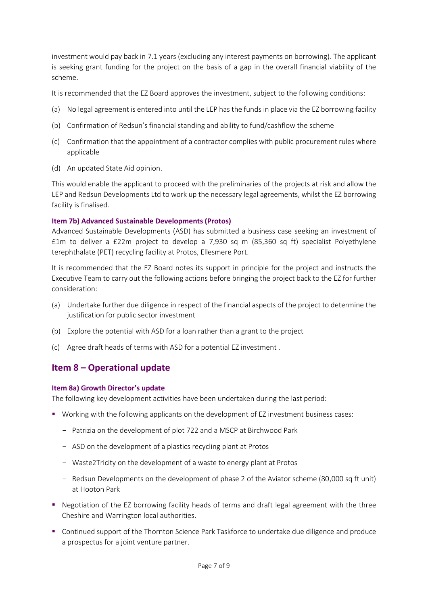investment would pay back in 7.1 years (excluding any interest payments on borrowing). The applicant is seeking grant funding for the project on the basis of a gap in the overall financial viability of the scheme.

It is recommended that the EZ Board approves the investment, subject to the following conditions:

- (a) No legal agreement is entered into until the LEP has the funds in place via the EZ borrowing facility
- (b) Confirmation of Redsun's financial standing and ability to fund/cashflow the scheme
- (c) Confirmation that the appointment of a contractor complies with public procurement rules where applicable
- (d) An updated State Aid opinion.

This would enable the applicant to proceed with the preliminaries of the projects at risk and allow the LEP and Redsun Developments Ltd to work up the necessary legal agreements, whilst the EZ borrowing facility is finalised.

### **Item 7b) Advanced Sustainable Developments (Protos)**

Advanced Sustainable Developments (ASD) has submitted a business case seeking an investment of £1m to deliver a £22m project to develop a 7,930 sq m (85,360 sq ft) specialist Polyethylene terephthalate (PET) recycling facility at Protos, Ellesmere Port.

It is recommended that the EZ Board notes its support in principle for the project and instructs the Executive Team to carry out the following actions before bringing the project back to the EZ for further consideration:

- (a) Undertake further due diligence in respect of the financial aspects of the project to determine the justification for public sector investment
- (b) Explore the potential with ASD for a loan rather than a grant to the project
- (c) Agree draft heads of terms with ASD for a potential EZ investment .

## **Item 8 – Operational update**

#### **Item 8a) Growth Director's update**

The following key development activities have been undertaken during the last period:

- Working with the following applicants on the development of EZ investment business cases:
	- Patrizia on the development of plot 722 and a MSCP at Birchwood Park
	- ASD on the development of a plastics recycling plant at Protos
	- Waste2Tricity on the development of a waste to energy plant at Protos
	- Redsun Developments on the development of phase 2 of the Aviator scheme (80,000 sq ft unit) at Hooton Park
- Negotiation of the EZ borrowing facility heads of terms and draft legal agreement with the three Cheshire and Warrington local authorities.
- Continued support of the Thornton Science Park Taskforce to undertake due diligence and produce a prospectus for a joint venture partner.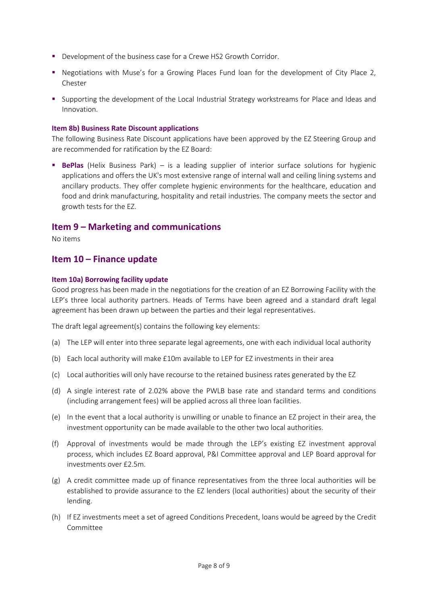- Development of the business case for a Crewe HS2 Growth Corridor.
- Negotiations with Muse's for a Growing Places Fund loan for the development of City Place 2, Chester
- **•** Supporting the development of the Local Industrial Strategy workstreams for Place and Ideas and Innovation.

#### **Item 8b) Business Rate Discount applications**

The following Business Rate Discount applications have been approved by the EZ Steering Group and are recommended for ratification by the EZ Board:

**BePlas** (Helix Business Park) – is a leading supplier of interior surface solutions for hygienic applications and offers the UK's most extensive range of internal wall and ceiling lining systems and ancillary products. They offer complete hygienic environments for the healthcare, education and food and drink manufacturing, hospitality and retail industries. The company meets the sector and growth tests for the EZ.

### **Item 9 – Marketing and communications**

No items

## **Item 10 – Finance update**

#### **Item 10a) Borrowing facility update**

Good progress has been made in the negotiations for the creation of an EZ Borrowing Facility with the LEP's three local authority partners. Heads of Terms have been agreed and a standard draft legal agreement has been drawn up between the parties and their legal representatives.

The draft legal agreement(s) contains the following key elements:

- (a) The LEP will enter into three separate legal agreements, one with each individual local authority
- (b) Each local authority will make £10m available to LEP for EZ investments in their area
- (c) Local authorities will only have recourse to the retained business rates generated by the EZ
- (d) A single interest rate of 2.02% above the PWLB base rate and standard terms and conditions (including arrangement fees) will be applied across all three loan facilities.
- (e) In the event that a local authority is unwilling or unable to finance an EZ project in their area, the investment opportunity can be made available to the other two local authorities.
- (f) Approval of investments would be made through the LEP's existing EZ investment approval process, which includes EZ Board approval, P&I Committee approval and LEP Board approval for investments over £2.5m.
- (g) A credit committee made up of finance representatives from the three local authorities will be established to provide assurance to the EZ lenders (local authorities) about the security of their lending.
- (h) If EZ investments meet a set of agreed Conditions Precedent, loans would be agreed by the Credit Committee